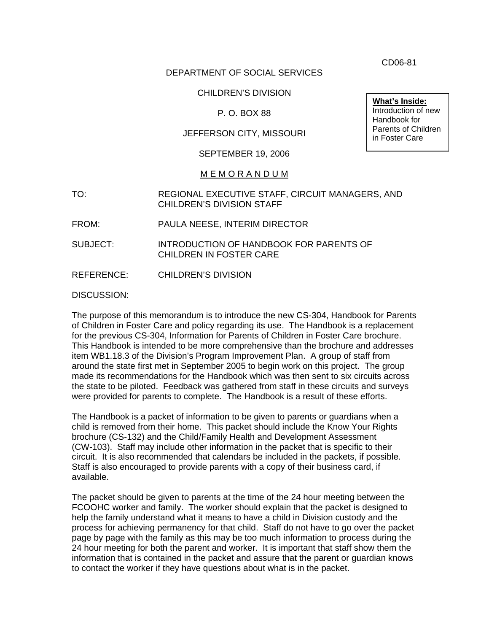DEPARTMENT OF SOCIAL SERVICES

CHILDREN'S DIVISION

P. O. BOX 88

JEFFERSON CITY, MISSOURI

SEPTEMBER 19, 2006

## M E M O R A N D U M

- TO: REGIONAL EXECUTIVE STAFF, CIRCUIT MANAGERS, AND CHILDREN'S DIVISION STAFF
- FROM: PAULA NEESE, INTERIM DIRECTOR
- SUBJECT: INTRODUCTION OF HANDBOOK FOR PARENTS OF CHILDREN IN FOSTER CARE

REFERENCE: CHILDREN'S DIVISION

DISCUSSION:

The purpose of this memorandum is to introduce the new CS-304, Handbook for Parents of Children in Foster Care and policy regarding its use. The Handbook is a replacement for the previous CS-304, Information for Parents of Children in Foster Care brochure. This Handbook is intended to be more comprehensive than the brochure and addresses item WB1.18.3 of the Division's Program Improvement Plan. A group of staff from around the state first met in September 2005 to begin work on this project. The group made its recommendations for the Handbook which was then sent to six circuits across the state to be piloted. Feedback was gathered from staff in these circuits and surveys were provided for parents to complete. The Handbook is a result of these efforts.

The Handbook is a packet of information to be given to parents or guardians when a child is removed from their home. This packet should include the Know Your Rights brochure (CS-132) and the Child/Family Health and Development Assessment (CW-103). Staff may include other information in the packet that is specific to their circuit. It is also recommended that calendars be included in the packets, if possible. Staff is also encouraged to provide parents with a copy of their business card, if available.

The packet should be given to parents at the time of the 24 hour meeting between the FCOOHC worker and family. The worker should explain that the packet is designed to help the family understand what it means to have a child in Division custody and the process for achieving permanency for that child. Staff do not have to go over the packet page by page with the family as this may be too much information to process during the 24 hour meeting for both the parent and worker. It is important that staff show them the information that is contained in the packet and assure that the parent or guardian knows to contact the worker if they have questions about what is in the packet.

CD06-81

**What's Inside:** Introduction of new Handbook for Parents of Children in Foster Care